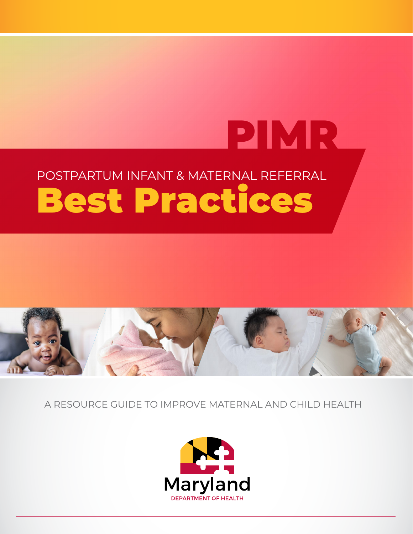# PIMR POSTPARTUM INFANT & MATERNAL REFERRAL Best Practices



A RESOURCE GUIDE TO IMPROVE MATERNAL AND CHILD HEALTH

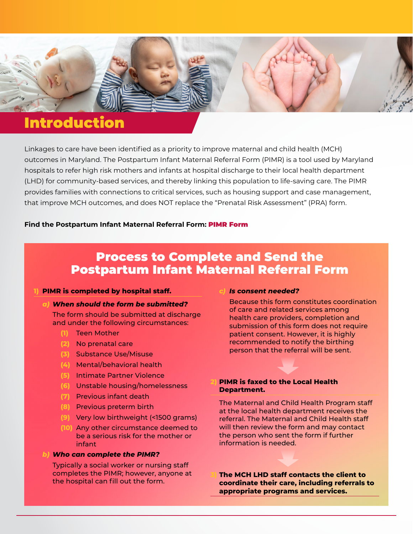

### Introduction

Linkages to care have been identified as a priority to improve maternal and child health (MCH) outcomes in Maryland. The Postpartum Infant Maternal Referral Form (PIMR) is a tool used by Maryland hospitals to refer high risk mothers and infants at hospital discharge to their local health department (LHD) for community-based services, and thereby linking this population to life-saving care. The PIMR provides families with connections to critical services, such as housing support and case management, that improve MCH outcomes, and does NOT replace the "Prenatal Risk Assessment" (PRA) form.

### **Find the Postpartum Infant Maternal Referral Form:** [PIMR Form](https://health.maryland.gov/phpa/mch/Pages/postpartum-referral.aspx)

### Process to Complete and Send the Postpartum Infant Maternal Referral Form

#### **1) PIMR is completed by hospital staff.**

### *a) When should the form be submitted?*

 The form should be submitted at discharge and under the following circumstances:

- **(1)** Teen Mother
- **(2)** No prenatal care
- **(3)** Substance Use/Misuse
- **(4)** Mental/behavioral health
- **(5)** Intimate Partner Violence
- **(6)** Unstable housing/homelessness
- **(7)** Previous infant death
- **(8)** Previous preterm birth
- **(9)** Very low birthweight (<1500 grams)
- **(10)** Any other circumstance deemed to be a serious risk for the mother or infant

#### *b) Who can complete the PIMR?*

Typically a social worker or nursing staff completes the PIMR; however, anyone at the hospital can fill out the form.

#### *c) Is consent needed?*

 Because this form constitutes coordination of care and related services among health care providers, completion and submission of this form does not require patient consent. However, it is highly recommended to notify the birthing person that the referral will be sent.

### **2) PIMR is faxed to the Local Health Department.**

 The Maternal and Child Health Program staff at the local health department receives the referral. The Maternal and Child Health staff will then review the form and may contact the person who sent the form if further information is needed.

**3) The MCH LHD staff contacts the client to coordinate their care, including referrals to appropriate programs and services.**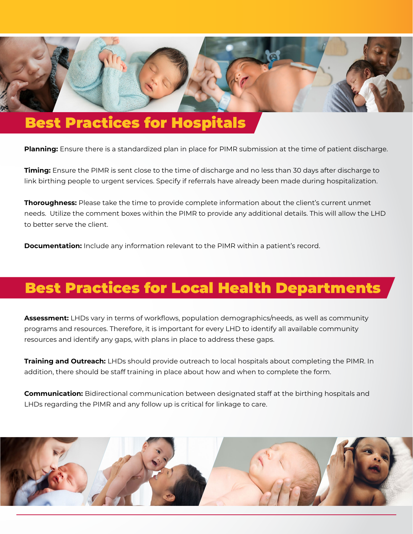

## Best Practices for Hospitals

**Planning:** Ensure there is a standardized plan in place for PIMR submission at the time of patient discharge.

**Timing:** Ensure the PIMR is sent close to the time of discharge and no less than 30 days after discharge to link birthing people to urgent services. Specify if referrals have already been made during hospitalization.

**Thoroughness:** Please take the time to provide complete information about the client's current unmet needs. Utilize the comment boxes within the PIMR to provide any additional details. This will allow the LHD to better serve the client.

**Documentation:** Include any information relevant to the PIMR within a patient's record.

## Best Practices for Local Health Departments

**Assessment:** LHDs vary in terms of workflows, population demographics/needs, as well as community programs and resources. Therefore, it is important for every LHD to identify all available community resources and identify any gaps, with plans in place to address these gaps.

**Training and Outreach:** LHDs should provide outreach to local hospitals about completing the PIMR. In addition, there should be staff training in place about how and when to complete the form.

**Communication:** Bidirectional communication between designated staff at the birthing hospitals and LHDs regarding the PIMR and any follow up is critical for linkage to care.